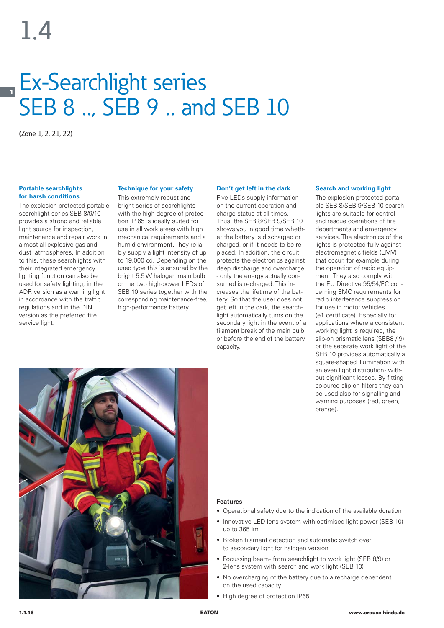# **1** Ex-Searchlight series SEB 8 .., SEB 9 .. and SEB 10

(Zone 1, 2, 21, 22)

### **Portable searchlights for harsh conditions**

The explosion-protected portable searchlight series SEB 8/9/10 provides a strong and reliable light source for inspection, maintenance and repair work in almost all explosive gas and dust atmospheres. In addition to this, these searchlights with their integrated emergency lighting function can also be used for safety lighting, in the ADR version as a warning light in accordance with the traffic regulations and in the DIN version as the preferred fire service light.

# **Technique for your safety**

This extremely robust and bright series of searchlights with the high degree of protection IP 65 is ideally suited for use in all work areas with high mechanical requirements and a humid environment. They reliably supply a light intensity of up to 19,000 cd. Depending on the used type this is ensured by the bright 5.5 W halogen main bulb or the two high-power LEDs of SEB 10 series together with the corresponding maintenance-free, high-performance battery.

## **Don't get left in the dark**

Five LEDs supply information on the current operation and charge status at all times. Thus, the SEB 8/SEB 9/SEB 10 shows you in good time whether the battery is discharged or charged, or if it needs to be replaced. In addition, the circuit protects the electronics against deep discharge and overcharge - only the energy actually consumed is recharged. This increases the lifetime of the battery. So that the user does not get left in the dark, the searchlight automatically turns on the secondary light in the event of a filament break of the main bulb or before the end of the battery capacity.

## **Search and working light**

The explosion-protected portable SEB 8/SEB 9/SEB 10 searchlights are suitable for control and rescue operations of fire departments and emergency services. The electronics of the lights is protected fully against electromagnetic fields (EMV) that occur, for example during the operation of radio equipment. They also comply with the EU Directive 95/54/EC concerning EMC requirements for radio interference suppression for use in motor vehicles (e1 certificate). Especially for applications where a consistent working light is required, the slip-on prismatic lens (SEB8 / 9) or the separate work light of the SEB 10 provides automatically a square-shaped illumination with an even light distribution- without significant losses. By fitting coloured slip-on filters they can be used also for signalling and warning purposes (red, green, orange).



# **Features**

- Operational safety due to the indication of the available duration
- Innovative LED lens system with optimised light power (SEB 10) up to 365 lm
- Broken filament detection and automatic switch over to secondary light for halogen version
- Focussing beam from searchlight to work light (SEB 8/9) or 2-lens system with search and work light (SEB 10)
- No overcharging of the battery due to a recharge dependent on the used capacity
- High degree of protection IP65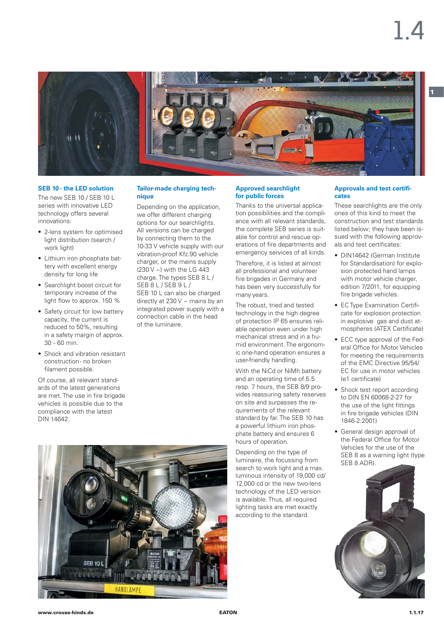

#### **SEB 10 - the LED solution**

The new SEB 10 / SEB 10 L series with innovative LED technology offers several innovations:

- 2-lens system for optimised light distribution (search / work light)
- Lithium iron phosphate battery with excellent energy density for long life
- Searchlight boost circuit for temporary increase of the light flow to approx. 150 %
- Safety circuit for low battery capacity, the current is reduced to 50%, resulting in a safety margin of approx. 30 - 60 min.
- Shock and vibration resistant construction - no broken filament possible.

Of course, all relevant standards of the latest generations are met. The use in fire brigade vehicles is possible due to the compliance with the latest DIN 14642.

### **Tailor-made charging technique**

Depending on the application, we offer different charging options for our searchlights. All versions can be charged by connecting them to the 10-33 V vehicle supply with our vibration-proof Kfz.90 vehicle charger, or the mains supply (230 V ~) with the LG 443 charge. The types SEB 8 L / SEB 8 L / SEB 9 L / SEB 10 L can also be charged directly at 230 V  $\sim$  mains by an integrated power supply with a connection cable in the head of the luminaire.

### **Approved searchlight for public forces**

Thanks to the universal application possibilities and the compliance with all relevant standards, the complete SEB series is suitable for control and rescue operations of fire departments and emergency services of all kinds.

Therefore, it is listed at almost all professional and volunteer fire brigades in Germany and has been very successfully for many years.

The robust, tried and tested technology in the high degree of protection IP 65 ensures reliable operation even under high mechanical stress and in a humid environment. The ergonomic one-hand operation ensures a user-friendly handling.

With the NiCd or NiMh battery and an operating time of 5.5 resp. 7 hours, the SEB 8/9 provides reassuring safety reserves on site and surpasses the requirements of the relevant standard by far. The SEB 10 has a powerful lithium iron phosphate battery and ensures 6 hours of operation.

Depending on the type of luminaire, the focussing from search to work light and a max. luminous intensity of 19,000 cd/ 12,000 cd or the new two-lens technology of the LED version is available. Thus, all required lighting tasks are met exactly according to the standard.

## **Approvals and test certificates**

These searchlights are the only ones of this kind to meet the construction and test standards listed below; they have been issued with the following approvals and test certificates:

- DIN14642 (German Institute for Standardisation) for explosion protected hand lamps with motor vehicle charger, edition 7/2011, for equipping fire brigade vehicles.
- EC Type Examination Certificate for explosion protection in explosive gas and dust atmospheres (ATEX Certificate)
- ECC type approval of the Federal Office for Motor Vehicles for meeting the requirements of the EMC Directive 95/54/ EC for use in motor vehicles (e1 certificate)
- Shock test report according to DIN EN 60068-2-27 for the use of the light fittings in fire brigade vehicles (DIN 1846-2:2001)
- General design approval of the Federal Office for Motor Vehicles for the use of the SEB 8 as a warning light (type SEB 8 ADR).



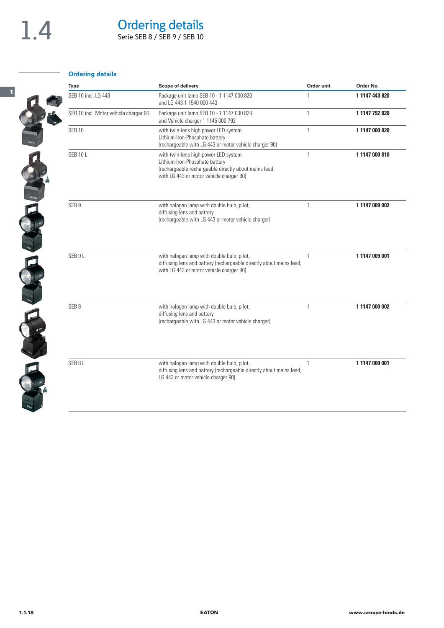$\mathbf{z}$ 

**1**

# Ordering details

Serie SEB 8 / SEB 9 / SEB 10

# **Ordering details**

| <b>Type</b>                           | Scope of delivery                                                                                                                                                           | Order unit   | Order No.      |
|---------------------------------------|-----------------------------------------------------------------------------------------------------------------------------------------------------------------------------|--------------|----------------|
| SEB 10 incl. LG 443                   | Package unit lamp SEB 10 - 1 1147 000 820<br>and LG 443 1 1540 000 443                                                                                                      | 1            | 1 1147 443 820 |
| SEB 10 incl. Motor vehicle charger 90 | Package unit lamp SEB 10 - 1 1147 000 820<br>and Vehicle charger 1 1145 000 792                                                                                             | $\mathbf{1}$ | 1 1147 792 820 |
| <b>SEB 10</b>                         | with twin-lens high power LED system<br>Lithium-Iron-Phosphate battery<br>(rechargeable with LG 443 or motor vehicle charger 90)                                            | $\mathbf{1}$ | 1 1147 000 820 |
| <b>SEB 10 L</b>                       | with twin-lens high power LED system<br>Lithium-Iron-Phosphate battery<br>(rechargeable rechargeable directly about mains lead,<br>with LG 443 or motor vehicle charger 90) | 1            | 11147000810    |
| SEB <sub>9</sub>                      | with halogen lamp with double bulb, pilot,<br>diffusing lens and battery<br>(rechargeable with LG 443 or motor vehicle charger)                                             | 1            | 1 1147 009 002 |
| SEB 9L                                | with halogen lamp with double bulb, pilot,<br>diffusing lens and battery (rechargeable directly about mains lead,<br>with LG 443 or motor vehicle charger 90)               | 1            | 1 1147 009 001 |
| SEB <sub>8</sub>                      | with halogen lamp with double bulb, pilot,<br>diffusing lens and battery<br>(rechargeable with LG 443 or motor vehicle charger)                                             |              | 1 1147 000 002 |
| SEB <sub>8L</sub>                     | with halogen lamp with double bulb, pilot,<br>diffusing lens and battery (rechargeable directly about mains lead,<br>LG 443 or motor vehicle charger 90)                    | $\mathbf{1}$ | 1 1147 000 001 |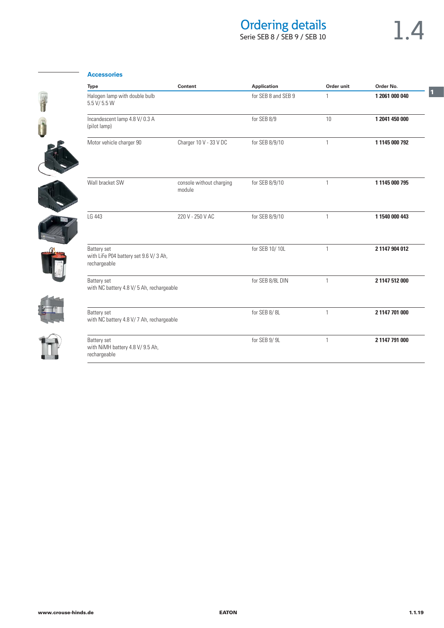# Ordering details

# Serie SEB 8 / SEB 9 / SEB 10

**1**

# CHANGE RE EN 16

Ë

| Type                                                                 | Content                            | <b>Application</b>  | Order unit   | Order No.      |
|----------------------------------------------------------------------|------------------------------------|---------------------|--------------|----------------|
| Halogen lamp with double bulb<br>5.5 V/ 5.5 W                        |                                    | for SEB 8 and SEB 9 | 1            | 1 2061 000 040 |
| Incandescent lamp 4.8 V/0.3 A<br>(pilot lamp)                        |                                    | for SEB 8/9         | 10           | 1 2041 450 000 |
| Motor vehicle charger 90                                             | Charger 10 V - 33 V DC             | for SEB 8/9/10      | 1            | 1 1145 000 792 |
| Wall bracket SW                                                      | console without charging<br>module | for SEB 8/9/10      | $\mathbf{1}$ | 1 1145 000 795 |
| LG 443                                                               | 220 V - 250 V AC                   | for SEB 8/9/10      | $\mathbf{1}$ | 1 1540 000 443 |
| Battery set<br>with LiFe P04 battery set 9.6 V/3 Ah,<br>rechargeable |                                    | for SEB 10/10L      | 1            | 2 1147 904 012 |
| Battery set<br>with NC battery 4.8 V/ 5 Ah, rechargeable             |                                    | for SEB 8/8L DIN    | $\mathbf{1}$ | 2 1147 512 000 |
| Battery set<br>with NC battery 4.8 V/ 7 Ah, rechargeable             |                                    | for SEB 8/8L        | 1            | 2 1147 701 000 |
| Battery set<br>with NiMH battery 4.8 V/ 9.5 Ah,<br>rechargeable      |                                    | for SEB 9/9L        | $\mathbf{1}$ | 2 1147 791 000 |

# **Accessories**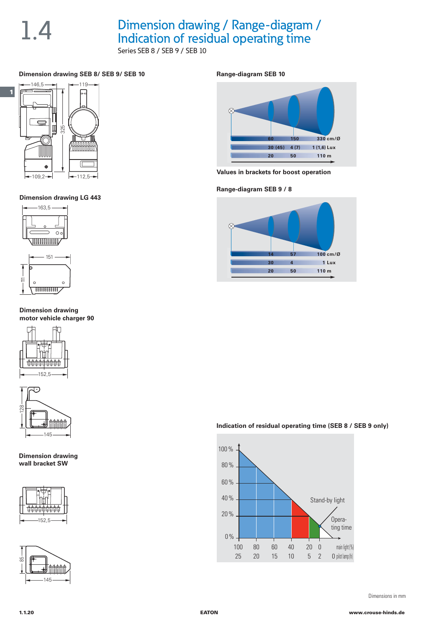# 1.4 Dimension drawing / Range-diagram /<br>Indication of residual operating time Series SEB 8 / SEB 9 / SEB 10

# **Dimension drawing SEB 8/ SEB 9/ SEB 10**



**Dimension drawing LG 443**



**Dimension drawing motor vehicle charger 90**





**Dimension drawing wall bracket SW**





## **Range-diagram SEB 10**



**Values in brackets for boost operation**

**Range-diagram SEB 9 / 8**



# **Indication of residual operating time (SEB 8 / SEB 9 only)**



Dimensions in mm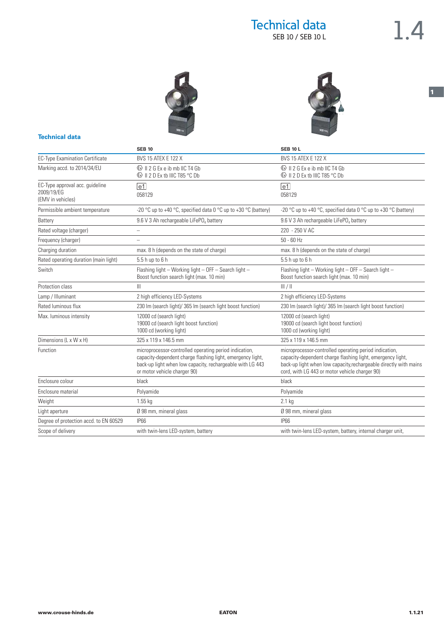**1**





|                                        | <b>SEB 10</b>                                                                                                                                                                                                     | <b>SEB 10 L</b>                                                                                                                                                                                                                             |  |
|----------------------------------------|-------------------------------------------------------------------------------------------------------------------------------------------------------------------------------------------------------------------|---------------------------------------------------------------------------------------------------------------------------------------------------------------------------------------------------------------------------------------------|--|
| <b>EC-Type Examination Certificate</b> | <b>BVS 15 ATEX E 122 X</b>                                                                                                                                                                                        | <b>BVS 15 ATEX E 122 X</b>                                                                                                                                                                                                                  |  |
| Marking accd. to 2014/34/EU            |                                                                                                                                                                                                                   | $\circ$ II 2 G Ex e ib mb IIC T4 Gb                                                                                                                                                                                                         |  |
|                                        | <b> ⑤</b> II 2 D Ex tb IIIC T85 °C Db                                                                                                                                                                             | <b> ⑤</b> II 2 D Ex tb IIIC T85 °C Db                                                                                                                                                                                                       |  |
| EC-Type approval acc. guideline        | $ e_1 $                                                                                                                                                                                                           | $\boxed{e1}$                                                                                                                                                                                                                                |  |
| 2009/19/EG<br>(EMV in vehicles)        | 058129                                                                                                                                                                                                            | 058129                                                                                                                                                                                                                                      |  |
|                                        |                                                                                                                                                                                                                   |                                                                                                                                                                                                                                             |  |
| Permissible ambient temperature        | -20 °C up to +40 °C, specified data 0 °C up to +30 °C (battery)                                                                                                                                                   | -20 °C up to +40 °C, specified data 0 °C up to +30 °C (battery)                                                                                                                                                                             |  |
| Battery                                | 9.6 V 3 Ah rechargeable LiFePO, battery                                                                                                                                                                           | 9.6 V 3 Ah rechargeable LiFePO, battery                                                                                                                                                                                                     |  |
| Rated voltage (charger)                |                                                                                                                                                                                                                   | 220 - 250 V AC                                                                                                                                                                                                                              |  |
| Frequency (charger)                    | $\overline{\phantom{a}}$                                                                                                                                                                                          | $50 - 60$ Hz                                                                                                                                                                                                                                |  |
| Charging duration                      | max. 8 h (depends on the state of charge)                                                                                                                                                                         | max. 8 h (depends on the state of charge)                                                                                                                                                                                                   |  |
| Rated operating duration (main light)  | 5.5 h up to 6 h                                                                                                                                                                                                   | 5.5 h up to 6 h                                                                                                                                                                                                                             |  |
| Switch                                 | Flashing light - Working light - OFF - Search light -<br>Boost function search light (max. 10 min)                                                                                                                | Flashing light - Working light - OFF - Search light -<br>Boost function search light (max. 10 min)                                                                                                                                          |  |
| Protection class                       | $\mathbb{H}$                                                                                                                                                                                                      | III/II                                                                                                                                                                                                                                      |  |
| Lamp / Illuminant                      | 2 high efficiency LED-Systems                                                                                                                                                                                     | 2 high efficiency LED-Systems                                                                                                                                                                                                               |  |
| Rated luminous flux                    | 230 Im (search light)/ 365 Im (search light boost function)                                                                                                                                                       | 230 Im (search light)/ 365 Im (search light boost function)                                                                                                                                                                                 |  |
| Max. luminous intensity                | 12000 cd (search light)                                                                                                                                                                                           | 12000 cd (search light)                                                                                                                                                                                                                     |  |
|                                        | 19000 cd (search light boost function)                                                                                                                                                                            | 19000 cd (search light boost function)                                                                                                                                                                                                      |  |
|                                        | 1000 cd (working light)                                                                                                                                                                                           | 1000 cd (working light)                                                                                                                                                                                                                     |  |
| Dimensions (L x W x H)                 | 325 x 119 x 146.5 mm                                                                                                                                                                                              | 325 x 119 x 146.5 mm                                                                                                                                                                                                                        |  |
| Function                               | microprocessor-controlled operating period indication,<br>capacity-dependent charge flashing light, emergency light,<br>back-up light when low capacity, rechargeable with LG 443<br>or motor vehicle charger 90) | microprocessor-controlled operating period indication,<br>capacity-dependent charge flashing light, emergency light,<br>back-up light when low capacity, rechargeable directly with mains<br>cord, with LG 443 or motor vehicle charger 90) |  |
| Enclosure colour                       | black                                                                                                                                                                                                             | black                                                                                                                                                                                                                                       |  |
| Enclosure material                     | Polyamide                                                                                                                                                                                                         | Polyamide                                                                                                                                                                                                                                   |  |
| Weight                                 | $1.55$ kg                                                                                                                                                                                                         | 2.1 kg                                                                                                                                                                                                                                      |  |
| Light aperture                         | Ø 98 mm, mineral glass                                                                                                                                                                                            | Ø 98 mm, mineral glass                                                                                                                                                                                                                      |  |
| Degree of protection accd. to EN 60529 | <b>IP66</b>                                                                                                                                                                                                       | <b>IP66</b>                                                                                                                                                                                                                                 |  |
| Scope of delivery                      | with twin-lens LED-system, battery                                                                                                                                                                                | with twin-lens LED-system, battery, internal charger unit,                                                                                                                                                                                  |  |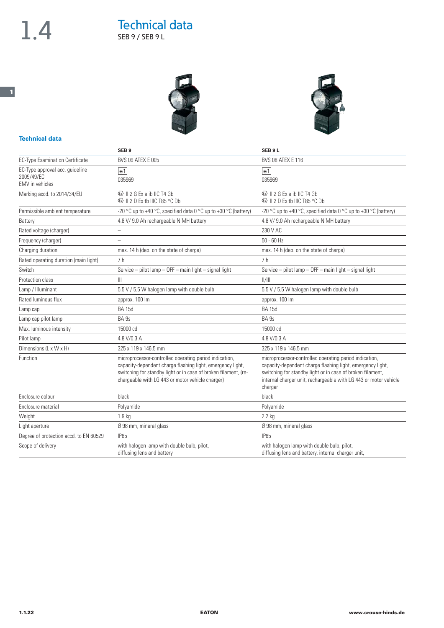**1**

# 1.4 Technical data SEB 9 / SEB 9 L



|                                                                         | SEB <sub>9</sub>                                                                                                                                                                                                                            | SEB <sub>9L</sub>                                                                                                                                                                                                                                                 |  |
|-------------------------------------------------------------------------|---------------------------------------------------------------------------------------------------------------------------------------------------------------------------------------------------------------------------------------------|-------------------------------------------------------------------------------------------------------------------------------------------------------------------------------------------------------------------------------------------------------------------|--|
| <b>EC-Type Examination Certificate</b>                                  | <b>BVS 09 ATEX E 005</b>                                                                                                                                                                                                                    | <b>BVS 08 ATEX E 116</b>                                                                                                                                                                                                                                          |  |
| EC-Type approval acc. guideline<br>2009/49/EC<br><b>EMV</b> in vehicles | $\boxed{e1}$<br>035969                                                                                                                                                                                                                      | $\boxed{e1}$<br>035969                                                                                                                                                                                                                                            |  |
| Marking accd. to 2014/34/EU                                             | <b>E</b> II 2 G Ex e ib IIC T4 Gb<br><b> ⑤</b> II 2 D Ex tb IIIC T85 °C Db                                                                                                                                                                  | <b>E</b> II 2 G Ex e ib IIC T4 Gb<br><b> ⑤</b> II 2 D Ex tb IIIC T85 °C Db                                                                                                                                                                                        |  |
| Permissible ambient temperature                                         | -20 °C up to +40 °C, specified data 0 °C up to +30 °C (battery)                                                                                                                                                                             | -20 °C up to +40 °C, specified data 0 °C up to +30 °C (battery)                                                                                                                                                                                                   |  |
| Battery                                                                 | 4.8 V/ 9.0 Ah rechargeable NiMH battery                                                                                                                                                                                                     | 4.8 V/ 9.0 Ah rechargeable NiMH battery                                                                                                                                                                                                                           |  |
| Rated voltage (charger)                                                 | $\overline{\phantom{0}}$                                                                                                                                                                                                                    | 230 V AC                                                                                                                                                                                                                                                          |  |
| Frequency (charger)                                                     |                                                                                                                                                                                                                                             | $50 - 60$ Hz                                                                                                                                                                                                                                                      |  |
| Charging duration                                                       | max. 14 h (dep. on the state of charge)                                                                                                                                                                                                     | max. 14 h (dep. on the state of charge)                                                                                                                                                                                                                           |  |
| Rated operating duration (main light)                                   | 7 h                                                                                                                                                                                                                                         | 7 <sub>h</sub>                                                                                                                                                                                                                                                    |  |
| Switch                                                                  | Service - pilot lamp - OFF - main light - signal light                                                                                                                                                                                      | Service - pilot lamp - OFF - main light - signal light                                                                                                                                                                                                            |  |
| Protection class                                                        | Ш                                                                                                                                                                                                                                           | /                                                                                                                                                                                                                                                                 |  |
| Lamp / Illuminant                                                       | 5.5 V / 5.5 W halogen lamp with double bulb                                                                                                                                                                                                 | 5.5 V / 5.5 W halogen lamp with double bulb                                                                                                                                                                                                                       |  |
| Rated luminous flux                                                     | approx. 100 lm                                                                                                                                                                                                                              | approx. 100 lm                                                                                                                                                                                                                                                    |  |
| Lamp cap                                                                | <b>BA 15d</b>                                                                                                                                                                                                                               | <b>BA 15d</b>                                                                                                                                                                                                                                                     |  |
| Lamp cap pilot lamp                                                     | BA <sub>9s</sub>                                                                                                                                                                                                                            | BA <sub>9s</sub>                                                                                                                                                                                                                                                  |  |
| Max. luminous intensity                                                 | 15000 cd                                                                                                                                                                                                                                    | 15000 cd                                                                                                                                                                                                                                                          |  |
| Pilot lamp                                                              | 4.8 V/0.3 A                                                                                                                                                                                                                                 | 4.8 V/0.3 A                                                                                                                                                                                                                                                       |  |
| Dimensions (L x W x H)                                                  | 325 x 119 x 146.5 mm                                                                                                                                                                                                                        | 325 x 119 x 146.5 mm                                                                                                                                                                                                                                              |  |
| Function                                                                | microprocessor-controlled operating period indication,<br>capacity-dependent charge flashing light, emergency light,<br>switching for standby light or in case of broken filament, (re-<br>chargeable with LG 443 or motor vehicle charger) | microprocessor-controlled operating period indication,<br>capacity-dependent charge flashing light, emergency light,<br>switching for standby light or in case of broken filament,<br>internal charger unit, rechargeable with LG 443 or motor vehicle<br>charger |  |
| Enclosure colour                                                        | black                                                                                                                                                                                                                                       | black                                                                                                                                                                                                                                                             |  |
| Enclosure material                                                      | Polyamide                                                                                                                                                                                                                                   | Polyamide                                                                                                                                                                                                                                                         |  |
| Weight                                                                  | 1.9 <sub>kg</sub>                                                                                                                                                                                                                           | $2.2$ kg                                                                                                                                                                                                                                                          |  |
| Light aperture                                                          | Ø 98 mm, mineral glass                                                                                                                                                                                                                      | Ø 98 mm, mineral glass                                                                                                                                                                                                                                            |  |
| Degree of protection accd. to EN 60529                                  | IP <sub>65</sub>                                                                                                                                                                                                                            | <b>IP65</b>                                                                                                                                                                                                                                                       |  |
| Scope of delivery                                                       | with halogen lamp with double bulb, pilot,<br>diffusing lens and battery                                                                                                                                                                    | with halogen lamp with double bulb, pilot,<br>diffusing lens and battery, internal charger unit,                                                                                                                                                                  |  |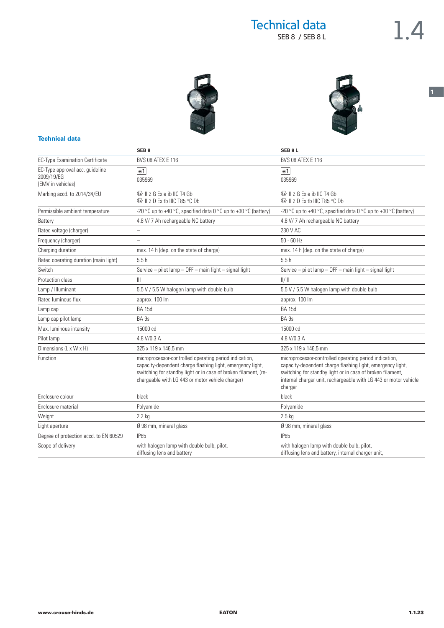**1**





|                                        | SEB <sub>8</sub>                                                                                                                                                                                                                            | SEB <sub>8L</sub>                                                                                                                                                                                                                                                 |  |
|----------------------------------------|---------------------------------------------------------------------------------------------------------------------------------------------------------------------------------------------------------------------------------------------|-------------------------------------------------------------------------------------------------------------------------------------------------------------------------------------------------------------------------------------------------------------------|--|
| <b>EC-Type Examination Certificate</b> | <b>BVS 08 ATEX E 116</b>                                                                                                                                                                                                                    | <b>BVS 08 ATEX E 116</b>                                                                                                                                                                                                                                          |  |
| EC-Type approval acc. guideline        | $ e_1 $                                                                                                                                                                                                                                     | e1                                                                                                                                                                                                                                                                |  |
| 2009/19/EG<br>(EMV in vehicles)        | 035969                                                                                                                                                                                                                                      | 035969                                                                                                                                                                                                                                                            |  |
| Marking accd. to 2014/34/EU            | $\circ$ II 2 G Ex e ib IIC T4 Gb<br><b> ⑤</b> II 2 D Ex tb IIIC T85 °C Db                                                                                                                                                                   | $\circ$ II 2 G Ex e ib IIC T4 Gb<br>Se II 2 D Ex th IIIC T85 °C Dh                                                                                                                                                                                                |  |
|                                        |                                                                                                                                                                                                                                             |                                                                                                                                                                                                                                                                   |  |
| Permissible ambient temperature        | -20 °C up to +40 °C, specified data 0 °C up to +30 °C (battery)                                                                                                                                                                             | -20 °C up to +40 °C, specified data 0 °C up to +30 °C (battery)                                                                                                                                                                                                   |  |
| Battery                                | 4.8 V/7 Ah rechargeable NC battery                                                                                                                                                                                                          | 4.8 V/7 Ah rechargeable NC battery                                                                                                                                                                                                                                |  |
| Rated voltage (charger)                | $\overline{\phantom{0}}$                                                                                                                                                                                                                    | 230 V AC                                                                                                                                                                                                                                                          |  |
| Frequency (charger)                    |                                                                                                                                                                                                                                             | $50 - 60$ Hz                                                                                                                                                                                                                                                      |  |
| Charging duration                      | max. 14 h (dep. on the state of charge)                                                                                                                                                                                                     | max. 14 h (dep. on the state of charge)                                                                                                                                                                                                                           |  |
| Rated operating duration (main light)  | 5.5h                                                                                                                                                                                                                                        | 5.5h                                                                                                                                                                                                                                                              |  |
| Switch                                 | Service - pilot lamp - OFF - main light - signal light                                                                                                                                                                                      | Service - pilot lamp - OFF - main light - signal light                                                                                                                                                                                                            |  |
| Protection class                       | Ш                                                                                                                                                                                                                                           | /                                                                                                                                                                                                                                                                 |  |
| Lamp / Illuminant                      | 5.5 V / 5.5 W halogen lamp with double bulb                                                                                                                                                                                                 | 5.5 V / 5.5 W halogen lamp with double bulb                                                                                                                                                                                                                       |  |
| Rated luminous flux                    | approx. 100 lm                                                                                                                                                                                                                              | approx. 100 lm                                                                                                                                                                                                                                                    |  |
| Lamp cap                               | <b>BA 15d</b>                                                                                                                                                                                                                               | <b>BA 15d</b>                                                                                                                                                                                                                                                     |  |
| Lamp cap pilot lamp                    | BA 9s                                                                                                                                                                                                                                       | BA <sub>9s</sub>                                                                                                                                                                                                                                                  |  |
| Max. luminous intensity                | 15000 cd                                                                                                                                                                                                                                    | 15000 cd                                                                                                                                                                                                                                                          |  |
| Pilot lamp                             | 4.8 V/0.3 A                                                                                                                                                                                                                                 | 4.8 V/0.3 A                                                                                                                                                                                                                                                       |  |
| Dimensions (L x W x H)                 | 325 x 119 x 146.5 mm                                                                                                                                                                                                                        | 325 x 119 x 146.5 mm                                                                                                                                                                                                                                              |  |
| Function                               | microprocessor-controlled operating period indication,<br>capacity-dependent charge flashing light, emergency light,<br>switching for standby light or in case of broken filament, (re-<br>chargeable with LG 443 or motor vehicle charger) | microprocessor-controlled operating period indication,<br>capacity-dependent charge flashing light, emergency light,<br>switching for standby light or in case of broken filament,<br>internal charger unit, rechargeable with LG 443 or motor vehicle<br>charger |  |
| Enclosure colour                       | black                                                                                                                                                                                                                                       | black                                                                                                                                                                                                                                                             |  |
| Enclosure material                     | Polyamide                                                                                                                                                                                                                                   | Polyamide                                                                                                                                                                                                                                                         |  |
| Weight                                 | $2.2$ kg                                                                                                                                                                                                                                    | $2.5$ kg                                                                                                                                                                                                                                                          |  |
| Light aperture                         | Ø 98 mm, mineral glass                                                                                                                                                                                                                      | Ø 98 mm, mineral glass                                                                                                                                                                                                                                            |  |
| Degree of protection accd. to EN 60529 | <b>IP65</b>                                                                                                                                                                                                                                 | <b>IP65</b>                                                                                                                                                                                                                                                       |  |
| Scope of delivery                      | with halogen lamp with double bulb, pilot,<br>diffusing lens and battery                                                                                                                                                                    | with halogen lamp with double bulb, pilot,<br>diffusing lens and battery, internal charger unit,                                                                                                                                                                  |  |